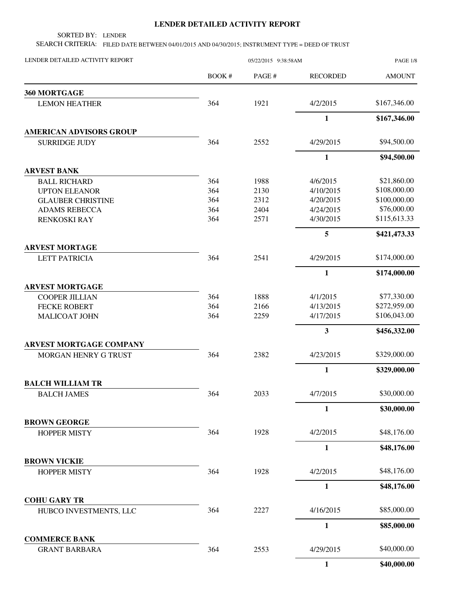## **LENDER DETAILED ACTIVITY REPORT**

SORTED BY: LENDER

SEARCH CRITERIA: FILED DATE BETWEEN 04/01/2015 AND 04/30/2015; INSTRUMENT TYPE = DEED OF TRUST

| LENDER DETAILED ACTIVITY REPORT               | 05/22/2015 9:38:58AM |        |                         | PAGE 1/8      |  |
|-----------------------------------------------|----------------------|--------|-------------------------|---------------|--|
|                                               | BOOK #               | PAGE # | <b>RECORDED</b>         | <b>AMOUNT</b> |  |
| 360 MORTGAGE                                  |                      |        |                         |               |  |
| <b>LEMON HEATHER</b>                          | 364                  | 1921   | 4/2/2015                | \$167,346.00  |  |
|                                               |                      |        | $\mathbf{1}$            | \$167,346.00  |  |
| <b>AMERICAN ADVISORS GROUP</b>                |                      |        |                         |               |  |
| <b>SURRIDGE JUDY</b>                          | 364                  | 2552   | 4/29/2015               | \$94,500.00   |  |
|                                               |                      |        | $\mathbf{1}$            | \$94,500.00   |  |
| <b>ARVEST BANK</b>                            |                      |        |                         |               |  |
| <b>BALL RICHARD</b>                           | 364                  | 1988   | 4/6/2015                | \$21,860.00   |  |
| <b>UPTON ELEANOR</b>                          | 364                  | 2130   | 4/10/2015               | \$108,000.00  |  |
| <b>GLAUBER CHRISTINE</b>                      | 364                  | 2312   | 4/20/2015               | \$100,000.00  |  |
| <b>ADAMS REBECCA</b>                          | 364                  | 2404   | 4/24/2015               | \$76,000.00   |  |
| <b>RENKOSKI RAY</b>                           | 364                  | 2571   | 4/30/2015               | \$115,613.33  |  |
|                                               |                      |        | 5                       | \$421,473.33  |  |
| <b>ARVEST MORTAGE</b>                         |                      |        |                         |               |  |
| <b>LETT PATRICIA</b>                          | 364                  | 2541   | 4/29/2015               | \$174,000.00  |  |
|                                               |                      |        | $\mathbf{1}$            | \$174,000.00  |  |
| <b>ARVEST MORTGAGE</b>                        |                      |        |                         |               |  |
| <b>COOPER JILLIAN</b>                         | 364                  | 1888   | 4/1/2015                | \$77,330.00   |  |
| <b>FECKE ROBERT</b>                           | 364                  | 2166   | 4/13/2015               | \$272,959.00  |  |
| MALICOAT JOHN                                 | 364                  | 2259   | 4/17/2015               | \$106,043.00  |  |
|                                               |                      |        | $\overline{\mathbf{3}}$ | \$456,332.00  |  |
| <b>ARVEST MORTGAGE COMPANY</b>                |                      |        |                         |               |  |
| MORGAN HENRY G TRUST                          | 364                  | 2382   | 4/23/2015               | \$329,000.00  |  |
|                                               |                      |        | $\mathbf{1}$            | \$329,000.00  |  |
| <b>BALCH WILLIAM TR</b>                       |                      |        |                         |               |  |
| <b>BALCH JAMES</b>                            | 364                  | 2033   | 4/7/2015                | \$30,000.00   |  |
|                                               |                      |        | 1                       | \$30,000.00   |  |
| <b>BROWN GEORGE</b>                           |                      |        |                         |               |  |
| <b>HOPPER MISTY</b>                           | 364                  | 1928   | 4/2/2015                | \$48,176.00   |  |
|                                               |                      |        | $\mathbf{1}$            | \$48,176.00   |  |
| <b>BROWN VICKIE</b>                           |                      |        |                         |               |  |
| <b>HOPPER MISTY</b>                           | 364                  | 1928   | 4/2/2015                | \$48,176.00   |  |
|                                               |                      |        | $\mathbf{1}$            | \$48,176.00   |  |
| <b>COHU GARY TR</b><br>HUBCO INVESTMENTS, LLC | 364                  | 2227   | 4/16/2015               | \$85,000.00   |  |
|                                               |                      |        | 1                       | \$85,000.00   |  |
| <b>COMMERCE BANK</b>                          |                      |        |                         |               |  |
| <b>GRANT BARBARA</b>                          | 364                  | 2553   | 4/29/2015               | \$40,000.00   |  |
|                                               |                      |        | $\mathbf{1}$            | \$40,000.00   |  |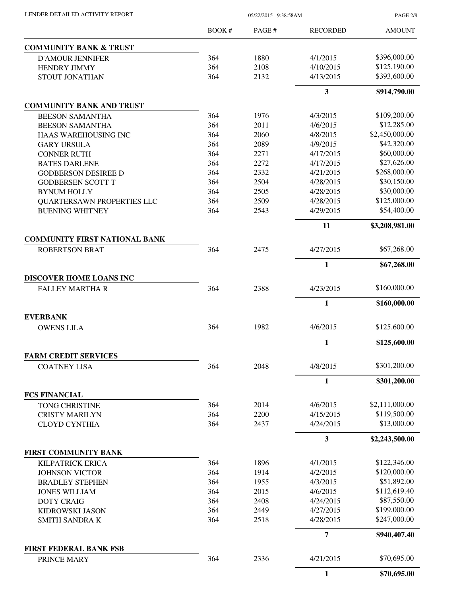| LENDER DETAILED ACTIVITY REPORT                   | 05/22/2015 9:38:58AM |       |                 | <b>PAGE 2/8</b> |
|---------------------------------------------------|----------------------|-------|-----------------|-----------------|
|                                                   | <b>BOOK#</b>         | PAGE# | <b>RECORDED</b> | <b>AMOUNT</b>   |
| <b>COMMUNITY BANK &amp; TRUST</b>                 |                      |       |                 |                 |
| <b>D'AMOUR JENNIFER</b>                           | 364                  | 1880  | 4/1/2015        | \$396,000.00    |
| HENDRY JIMMY                                      | 364                  | 2108  | 4/10/2015       | \$125,190.00    |
| STOUT JONATHAN                                    | 364                  | 2132  | 4/13/2015       | \$393,600.00    |
|                                                   |                      |       | 3               | \$914,790.00    |
| <b>COMMUNITY BANK AND TRUST</b>                   |                      |       |                 |                 |
| <b>BEESON SAMANTHA</b>                            | 364                  | 1976  | 4/3/2015        | \$109,200.00    |
| <b>BEESON SAMANTHA</b>                            | 364                  | 2011  | 4/6/2015        | \$12,285.00     |
| HAAS WAREHOUSING INC                              | 364                  | 2060  | 4/8/2015        | \$2,450,000.00  |
| <b>GARY URSULA</b>                                | 364                  | 2089  | 4/9/2015        | \$42,320.00     |
| <b>CONNER RUTH</b>                                | 364                  | 2271  | 4/17/2015       | \$60,000.00     |
| <b>BATES DARLENE</b>                              | 364                  | 2272  | 4/17/2015       | \$27,626.00     |
| <b>GODBERSON DESIREE D</b>                        | 364                  | 2332  | 4/21/2015       | \$268,000.00    |
| <b>GODBERSEN SCOTT T</b>                          | 364                  | 2504  | 4/28/2015       | \$30,150.00     |
| <b>BYNUM HOLLY</b>                                | 364                  | 2505  | 4/28/2015       | \$30,000.00     |
| <b>QUARTERSAWN PROPERTIES LLC</b>                 | 364                  | 2509  | 4/28/2015       | \$125,000.00    |
| <b>BUENING WHITNEY</b>                            | 364                  | 2543  | 4/29/2015       | \$54,400.00     |
|                                                   |                      |       | 11              | \$3,208,981.00  |
| <b>COMMUNITY FIRST NATIONAL BANK</b>              |                      |       |                 |                 |
| <b>ROBERTSON BRAT</b>                             | 364                  | 2475  | 4/27/2015       | \$67,268.00     |
|                                                   |                      |       | 1               | \$67,268.00     |
| DISCOVER HOME LOANS INC<br><b>FALLEY MARTHA R</b> | 364                  | 2388  | 4/23/2015       | \$160,000.00    |
|                                                   |                      |       |                 |                 |
| <b>EVERBANK</b>                                   |                      |       | 1               | \$160,000.00    |
| <b>OWENS LILA</b>                                 | 364                  | 1982  | 4/6/2015        | \$125,600.00    |
|                                                   |                      |       | $\mathbf{1}$    | \$125,600.00    |
| <b>FARM CREDIT SERVICES</b>                       |                      |       |                 |                 |
| <b>COATNEY LISA</b>                               | 364                  | 2048  | 4/8/2015        | \$301,200.00    |
|                                                   |                      |       | 1               | \$301,200.00    |
| <b>FCS FINANCIAL</b>                              |                      |       |                 |                 |
| <b>TONG CHRISTINE</b>                             | 364                  | 2014  | 4/6/2015        | \$2,111,000.00  |
| <b>CRISTY MARILYN</b>                             | 364                  | 2200  | 4/15/2015       | \$119,500.00    |
| <b>CLOYD CYNTHIA</b>                              | 364                  | 2437  | 4/24/2015       | \$13,000.00     |
|                                                   |                      |       | 3               | \$2,243,500.00  |
| FIRST COMMUNITY BANK                              |                      |       |                 |                 |
| KILPATRICK ERICA                                  | 364                  | 1896  | 4/1/2015        | \$122,346.00    |
| <b>JOHNSON VICTOR</b>                             | 364                  | 1914  | 4/2/2015        | \$120,000.00    |
| <b>BRADLEY STEPHEN</b>                            | 364                  | 1955  | 4/3/2015        | \$51,892.00     |
| <b>JONES WILLIAM</b>                              | 364                  | 2015  | 4/6/2015        | \$112,619.40    |
| <b>DOTY CRAIG</b>                                 | 364                  | 2408  | 4/24/2015       | \$87,550.00     |
| KIDROWSKI JASON                                   | 364                  | 2449  | 4/27/2015       | \$199,000.00    |
| <b>SMITH SANDRA K</b>                             | 364                  | 2518  | 4/28/2015       | \$247,000.00    |
|                                                   |                      |       | $\overline{7}$  | \$940,407.40    |
| <b>FIRST FEDERAL BANK FSB</b>                     |                      |       |                 |                 |
| PRINCE MARY                                       | 364                  | 2336  | 4/21/2015       | \$70,695.00     |
|                                                   |                      |       | $\mathbf{1}$    | \$70,695.00     |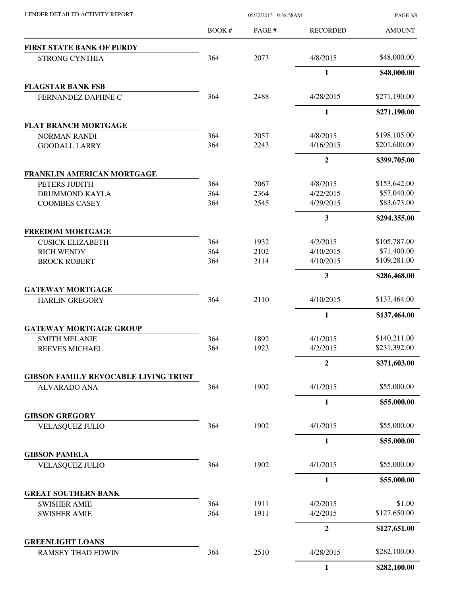|                                                     | BOOK#      | PAGE#        | <b>RECORDED</b>       | <b>AMOUNT</b>               |
|-----------------------------------------------------|------------|--------------|-----------------------|-----------------------------|
| <b>FIRST STATE BANK OF PURDY</b>                    |            |              |                       |                             |
| <b>STRONG CYNTHIA</b>                               | 364        | 2073         | 4/8/2015              | \$48,000.00                 |
|                                                     |            |              | 1                     | \$48,000.00                 |
| <b>FLAGSTAR BANK FSB</b>                            |            |              |                       |                             |
| FERNANDEZ DAPHNE C                                  | 364        | 2488         | 4/28/2015             | \$271,190.00                |
|                                                     |            |              | $\mathbf{1}$          | \$271,190.00                |
| <b>FLAT BRANCH MORTGAGE</b>                         |            |              |                       |                             |
| <b>NORMAN RANDI</b>                                 | 364        | 2057         | 4/8/2015              | \$198,105.00                |
| <b>GOODALL LARRY</b>                                | 364        | 2243         | 4/16/2015             | \$201,600.00                |
|                                                     |            |              | $\overline{2}$        | \$399,705.00                |
| <b>FRANKLIN AMERICAN MORTGAGE</b>                   |            |              |                       |                             |
| PETERS JUDITH<br>DRUMMOND KAYLA                     | 364<br>364 | 2067<br>2364 | 4/8/2015<br>4/22/2015 | \$153,642.00<br>\$57,040.00 |
| <b>COOMBES CASEY</b>                                | 364        | 2545         | 4/29/2015             | \$83,673.00                 |
|                                                     |            |              | 3                     | \$294,355.00                |
| <b>FREEDOM MORTGAGE</b>                             |            |              |                       |                             |
| <b>CUSICK ELIZABETH</b>                             | 364        | 1932         | 4/2/2015              | \$105,787.00                |
| <b>RICH WENDY</b>                                   | 364        | 2102         | 4/10/2015             | \$71,400.00                 |
| <b>BROCK ROBERT</b>                                 | 364        | 2114         | 4/10/2015             | \$109,281.00                |
|                                                     |            |              | 3                     | \$286,468.00                |
| <b>GATEWAY MORTGAGE</b>                             |            |              |                       |                             |
| <b>HARLIN GREGORY</b>                               | 364        | 2110         | 4/10/2015             | \$137,464.00                |
|                                                     |            |              | $\mathbf{1}$          | \$137,464.00                |
| <b>GATEWAY MORTGAGE GROUP</b>                       |            |              |                       |                             |
| <b>SMITH MELANIE</b>                                | 364        | 1892         | 4/1/2015              | \$140,211.00                |
| <b>REEVES MICHAEL</b>                               | 364        | 1923         | 4/2/2015              | \$231,392.00                |
|                                                     |            |              | 2                     | \$371,603.00                |
| <b>GIBSON FAMILY REVOCABLE LIVING TRUST</b>         |            |              |                       |                             |
| <b>ALVARADO ANA</b>                                 | 364        | 1902         | 4/1/2015              | \$55,000.00                 |
|                                                     |            |              | 1                     | \$55,000.00                 |
| <b>GIBSON GREGORY</b>                               |            |              |                       |                             |
| <b>VELASQUEZ JULIO</b>                              | 364        | 1902         | 4/1/2015              | \$55,000.00                 |
|                                                     |            |              | $\mathbf{1}$          | \$55,000.00                 |
| <b>GIBSON PAMELA</b>                                |            |              |                       |                             |
| <b>VELASQUEZ JULIO</b>                              | 364        | 1902         | 4/1/2015              | \$55,000.00                 |
|                                                     |            |              | 1                     | \$55,000.00                 |
| <b>GREAT SOUTHERN BANK</b>                          |            |              |                       |                             |
| <b>SWISHER AMIE</b>                                 | 364<br>364 | 1911<br>1911 | 4/2/2015<br>4/2/2015  | \$1.00<br>\$127,650.00      |
| <b>SWISHER AMIE</b>                                 |            |              |                       |                             |
|                                                     |            |              | $\boldsymbol{2}$      | \$127,651.00                |
| <b>GREENLIGHT LOANS</b><br><b>RAMSEY THAD EDWIN</b> | 364        | 2510         | 4/28/2015             | \$282,100.00                |
|                                                     |            |              | $\mathbf{1}$          | \$282,100.00                |
|                                                     |            |              |                       |                             |

LENDER DETAILED ACTIVITY REPORT 05/22/2015 9:38:58AM

PAGE 3/8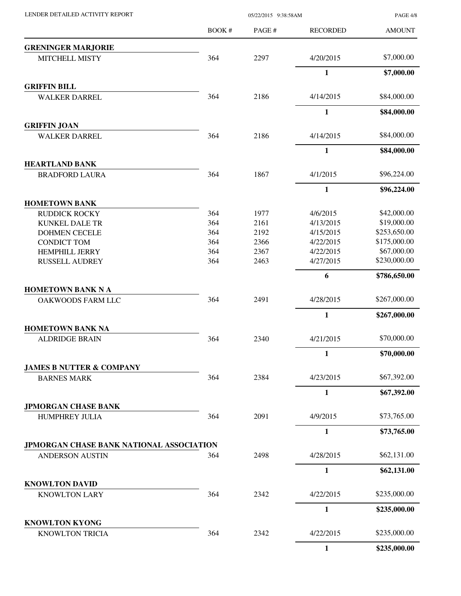|                                                 | BOOK# | PAGE# | <b>RECORDED</b> | <b>AMOUNT</b> |
|-------------------------------------------------|-------|-------|-----------------|---------------|
| <b>GRENINGER MARJORIE</b>                       |       |       |                 |               |
| <b>MITCHELL MISTY</b>                           | 364   | 2297  | 4/20/2015       | \$7,000.00    |
|                                                 |       |       | $\mathbf{1}$    | \$7,000.00    |
| <b>GRIFFIN BILL</b>                             |       |       |                 |               |
| <b>WALKER DARREL</b>                            | 364   | 2186  | 4/14/2015       | \$84,000.00   |
|                                                 |       |       | $\mathbf{1}$    | \$84,000.00   |
| <b>GRIFFIN JOAN</b>                             |       |       |                 |               |
| <b>WALKER DARREL</b>                            | 364   | 2186  | 4/14/2015       | \$84,000.00   |
|                                                 |       |       | $\mathbf{1}$    | \$84,000.00   |
| <b>HEARTLAND BANK</b>                           |       |       |                 |               |
| <b>BRADFORD LAURA</b>                           | 364   | 1867  | 4/1/2015        | \$96,224.00   |
|                                                 |       |       | $\mathbf{1}$    | \$96,224.00   |
| <b>HOMETOWN BANK</b>                            |       |       |                 |               |
| <b>RUDDICK ROCKY</b>                            | 364   | 1977  | 4/6/2015        | \$42,000.00   |
| <b>KUNKEL DALE TR</b>                           | 364   | 2161  | 4/13/2015       | \$19,000.00   |
| <b>DOHMEN CECELE</b>                            | 364   | 2192  | 4/15/2015       | \$253,650.00  |
| <b>CONDICT TOM</b>                              | 364   | 2366  | 4/22/2015       | \$175,000.00  |
| <b>HEMPHILL JERRY</b>                           | 364   | 2367  | 4/22/2015       | \$67,000.00   |
| <b>RUSSELL AUDREY</b>                           | 364   | 2463  | 4/27/2015       | \$230,000.00  |
|                                                 |       |       | 6               | \$786,650.00  |
| <b>HOMETOWN BANK N A</b>                        |       |       |                 |               |
| OAKWOODS FARM LLC                               | 364   | 2491  | 4/28/2015       | \$267,000.00  |
|                                                 |       |       | $\mathbf{1}$    | \$267,000.00  |
| <b>HOMETOWN BANK NA</b>                         |       |       |                 |               |
| <b>ALDRIDGE BRAIN</b>                           | 364   | 2340  | 4/21/2015       | \$70,000.00   |
|                                                 |       |       | $\mathbf{1}$    | \$70,000.00   |
| <b>JAMES B NUTTER &amp; COMPANY</b>             |       |       |                 |               |
| <b>BARNES MARK</b>                              | 364   | 2384  | 4/23/2015       | \$67,392.00   |
|                                                 |       |       | 1               | \$67,392.00   |
| <b>JPMORGAN CHASE BANK</b>                      |       |       |                 |               |
| <b>HUMPHREY JULIA</b>                           | 364   | 2091  | 4/9/2015        | \$73,765.00   |
|                                                 |       |       | $\mathbf{1}$    | \$73,765.00   |
| JPMORGAN CHASE BANK NATIONAL ASSOCIATION        |       |       |                 |               |
| <b>ANDERSON AUSTIN</b>                          | 364   | 2498  | 4/28/2015       | \$62,131.00   |
|                                                 |       |       | $\mathbf{1}$    | \$62,131.00   |
| <b>KNOWLTON DAVID</b>                           |       |       |                 | \$235,000.00  |
| <b>KNOWLTON LARY</b>                            | 364   | 2342  | 4/22/2015       |               |
|                                                 |       |       | 1               | \$235,000.00  |
| <b>KNOWLTON KYONG</b><br><b>KNOWLTON TRICIA</b> | 364   | 2342  | 4/22/2015       | \$235,000.00  |
|                                                 |       |       | $\mathbf{1}$    | \$235,000.00  |

LENDER DETAILED ACTIVITY REPORT 05/22/2015 9:38:58AM

PAGE 4/8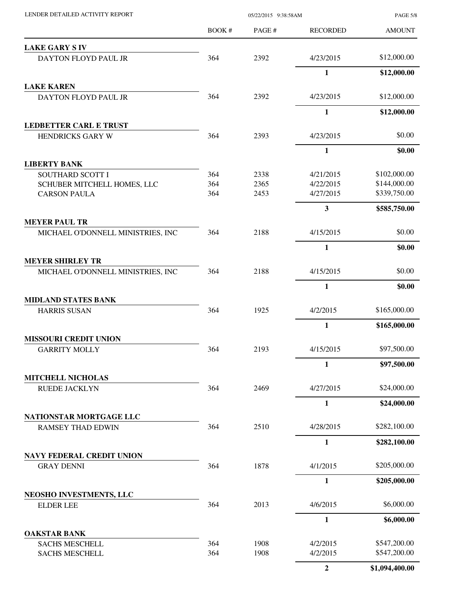| LENDER DETAILED ACTIVITY REPORT                  | 05/22/2015 9:38:58AM |              |                        | <b>PAGE 5/8</b>              |
|--------------------------------------------------|----------------------|--------------|------------------------|------------------------------|
|                                                  | BOOK #               | PAGE#        | <b>RECORDED</b>        | <b>AMOUNT</b>                |
| <b>LAKE GARY S IV</b>                            |                      |              |                        |                              |
| DAYTON FLOYD PAUL JR                             | 364                  | 2392         | 4/23/2015              | \$12,000.00                  |
|                                                  |                      |              | $\mathbf{1}$           | \$12,000.00                  |
| <b>LAKE KAREN</b>                                |                      |              |                        |                              |
| DAYTON FLOYD PAUL JR                             | 364                  | 2392         | 4/23/2015              | \$12,000.00                  |
|                                                  |                      |              | $\mathbf{1}$           | \$12,000.00                  |
| <b>LEDBETTER CARL E TRUST</b>                    |                      |              |                        |                              |
| HENDRICKS GARY W                                 | 364                  | 2393         | 4/23/2015              | \$0.00                       |
|                                                  |                      |              | 1                      | \$0.00                       |
| <b>LIBERTY BANK</b>                              |                      |              |                        |                              |
| SOUTHARD SCOTT I                                 | 364                  | 2338         | 4/21/2015              | \$102,000.00<br>\$144,000.00 |
| SCHUBER MITCHELL HOMES, LLC                      | 364<br>364           | 2365<br>2453 | 4/22/2015<br>4/27/2015 | \$339,750.00                 |
| <b>CARSON PAULA</b>                              |                      |              |                        |                              |
| <b>MEYER PAUL TR</b>                             |                      |              | 3                      | \$585,750.00                 |
| MICHAEL O'DONNELL MINISTRIES, INC                | 364                  | 2188         | 4/15/2015              | \$0.00                       |
|                                                  |                      |              | $\mathbf{1}$           | \$0.00                       |
| <b>MEYER SHIRLEY TR</b>                          |                      |              |                        |                              |
| MICHAEL O'DONNELL MINISTRIES, INC                | 364                  | 2188         | 4/15/2015              | \$0.00                       |
|                                                  |                      |              | 1                      | \$0.00                       |
| <b>MIDLAND STATES BANK</b>                       |                      |              |                        |                              |
| <b>HARRIS SUSAN</b>                              | 364                  | 1925         | 4/2/2015               | \$165,000.00                 |
|                                                  |                      |              | $\mathbf{1}$           | \$165,000.00                 |
| <b>MISSOURI CREDIT UNION</b>                     |                      |              |                        |                              |
| <b>GARRITY MOLLY</b>                             | 364                  | 2193         | 4/15/2015              | \$97,500.00                  |
|                                                  |                      |              | 1                      | \$97,500.00                  |
| <b>MITCHELL NICHOLAS</b><br><b>RUEDE JACKLYN</b> | 364                  | 2469         | 4/27/2015              | \$24,000.00                  |
|                                                  |                      |              | $\mathbf{1}$           | \$24,000.00                  |
| NATIONSTAR MORTGAGE LLC                          |                      |              |                        |                              |
| <b>RAMSEY THAD EDWIN</b>                         | 364                  | 2510         | 4/28/2015              | \$282,100.00                 |
|                                                  |                      |              | $\mathbf{1}$           | \$282,100.00                 |
| <b>NAVY FEDERAL CREDIT UNION</b>                 |                      |              |                        |                              |
| <b>GRAY DENNI</b>                                | 364                  | 1878         | 4/1/2015               | \$205,000.00                 |
|                                                  |                      |              | 1                      | \$205,000.00                 |
| NEOSHO INVESTMENTS, LLC                          |                      |              |                        |                              |
| <b>ELDER LEE</b>                                 | 364                  | 2013         | 4/6/2015               | \$6,000.00                   |
|                                                  |                      |              | $\mathbf{1}$           | \$6,000.00                   |
| <b>OAKSTAR BANK</b>                              |                      |              |                        | \$547,200.00                 |
| <b>SACHS MESCHELL</b><br><b>SACHS MESCHELL</b>   | 364<br>364           | 1908<br>1908 | 4/2/2015<br>4/2/2015   | \$547,200.00                 |
|                                                  |                      |              | $\overline{2}$         | \$1,094,400.00               |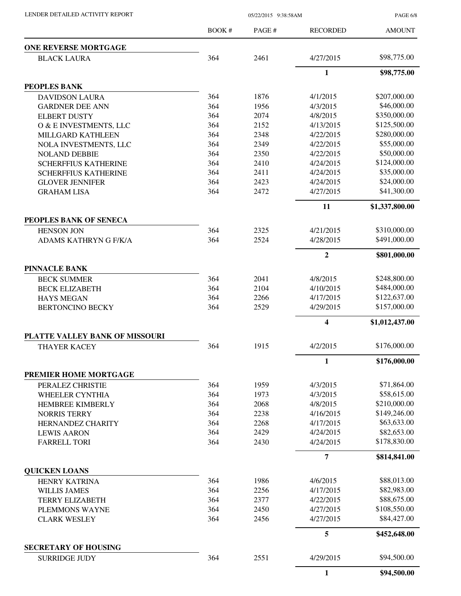| LENDER DETAILED ACTIVITY REPORT |  |
|---------------------------------|--|
|                                 |  |

05/22/2015 9:38:58AM

PAGE 6/8

|                                                       | BOOK#      | PAGE# | <b>RECORDED</b>         | <b>AMOUNT</b>  |
|-------------------------------------------------------|------------|-------|-------------------------|----------------|
| <b>ONE REVERSE MORTGAGE</b>                           |            |       |                         |                |
| <b>BLACK LAURA</b>                                    | 364        | 2461  | 4/27/2015               | \$98,775.00    |
|                                                       |            |       | $\mathbf{1}$            | \$98,775.00    |
| PEOPLES BANK                                          |            |       |                         |                |
| <b>DAVIDSON LAURA</b>                                 | 364        | 1876  | 4/1/2015                | \$207,000.00   |
| <b>GARDNER DEE ANN</b>                                | 364        | 1956  | 4/3/2015                | \$46,000.00    |
| <b>ELBERT DUSTY</b>                                   | 364        | 2074  | 4/8/2015                | \$350,000.00   |
| O & E INVESTMENTS, LLC                                | 364        | 2152  | 4/13/2015               | \$125,500.00   |
| MILLGARD KATHLEEN                                     | 364        | 2348  | 4/22/2015               | \$280,000.00   |
| NOLA INVESTMENTS, LLC                                 | 364        | 2349  | 4/22/2015               | \$55,000.00    |
| <b>NOLAND DEBBIE</b>                                  | 364        | 2350  | 4/22/2015               | \$50,000.00    |
| <b>SCHERFFIUS KATHERINE</b>                           | 364        | 2410  | 4/24/2015               | \$124,000.00   |
| <b>SCHERFFIUS KATHERINE</b>                           | 364        | 2411  | 4/24/2015               | \$35,000.00    |
| <b>GLOVER JENNIFER</b>                                | 364        | 2423  | 4/24/2015               | \$24,000.00    |
| <b>GRAHAM LISA</b>                                    | 364        | 2472  | 4/27/2015               | \$41,300.00    |
|                                                       |            |       | 11                      | \$1,337,800.00 |
| PEOPLES BANK OF SENECA                                |            |       |                         | \$310,000.00   |
| <b>HENSON JON</b>                                     | 364<br>364 | 2325  | 4/21/2015               | \$491,000.00   |
| ADAMS KATHRYN G F/K/A                                 |            | 2524  | 4/28/2015               |                |
|                                                       |            |       | $\overline{2}$          | \$801,000.00   |
| <b>PINNACLE BANK</b>                                  |            |       |                         |                |
| <b>BECK SUMMER</b>                                    | 364        | 2041  | 4/8/2015                | \$248,800.00   |
| <b>BECK ELIZABETH</b>                                 | 364        | 2104  | 4/10/2015               | \$484,000.00   |
| <b>HAYS MEGAN</b>                                     | 364        | 2266  | 4/17/2015               | \$122,637.00   |
| <b>BERTONCINO BECKY</b>                               | 364        | 2529  | 4/29/2015               | \$157,000.00   |
|                                                       |            |       | $\overline{\mathbf{4}}$ | \$1,012,437.00 |
| PLATTE VALLEY BANK OF MISSOURI<br><b>THAYER KACEY</b> | 364        | 1915  | 4/2/2015                | \$176,000.00   |
|                                                       |            |       | 1                       | \$176,000.00   |
| PREMIER HOME MORTGAGE                                 |            |       |                         |                |
|                                                       | 364        | 1959  |                         | \$71,864.00    |
| PERALEZ CHRISTIE<br><b>WHEELER CYNTHIA</b>            | 364        | 1973  | 4/3/2015<br>4/3/2015    | \$58,615.00    |
|                                                       | 364        | 2068  | 4/8/2015                | \$210,000.00   |
| HEMBREE KIMBERLY<br><b>NORRIS TERRY</b>               | 364        | 2238  | 4/16/2015               | \$149,246.00   |
| HERNANDEZ CHARITY                                     | 364        | 2268  | 4/17/2015               | \$63,633.00    |
| <b>LEWIS AARON</b>                                    | 364        | 2429  | 4/24/2015               | \$82,653.00    |
| <b>FARRELL TORI</b>                                   | 364        | 2430  | 4/24/2015               | \$178,830.00   |
|                                                       |            |       | $\overline{7}$          | \$814,841.00   |
| <b>QUICKEN LOANS</b>                                  |            |       |                         |                |
| <b>HENRY KATRINA</b>                                  | 364        | 1986  | 4/6/2015                | \$88,013.00    |
| <b>WILLIS JAMES</b>                                   | 364        | 2256  | 4/17/2015               | \$82,983.00    |
| <b>TERRY ELIZABETH</b>                                | 364        | 2377  | 4/22/2015               | \$88,675.00    |
| PLEMMONS WAYNE                                        | 364        | 2450  | 4/27/2015               | \$108,550.00   |
| <b>CLARK WESLEY</b>                                   | 364        | 2456  | 4/27/2015               | \$84,427.00    |
|                                                       |            |       | 5                       | \$452,648.00   |
| <b>SECRETARY OF HOUSING</b>                           |            |       |                         |                |
| <b>SURRIDGE JUDY</b>                                  | 364        | 2551  | 4/29/2015               | \$94,500.00    |
|                                                       |            |       | $\mathbf{1}$            | \$94,500.00    |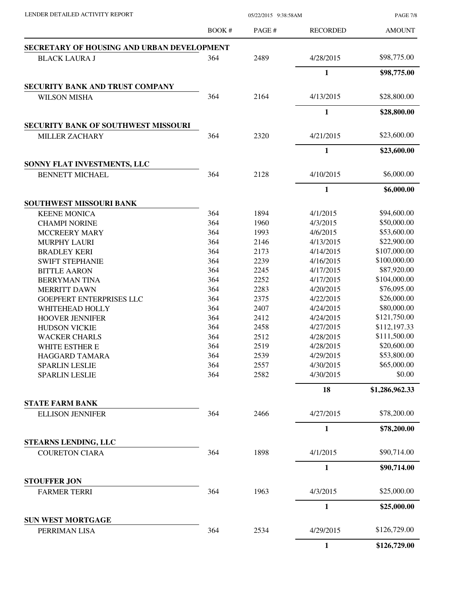BOOK # PAGE # AMOUNT RECORDED **SECRETARY OF HOUSING AND URBAN DEVELOPMENT** BLACK LAURA J 364 2489 4/28/2015 \$98,775.00 **1 \$98,775.00 SECURITY BANK AND TRUST COMPANY** WILSON MISHA 364 2164 4/13/2015 \$28,800.00 **1 \$28,800.00 SECURITY BANK OF SOUTHWEST MISSOURI** MILLER ZACHARY **364** 2320 4/21/2015 \$23,600.00 **1 \$23,600.00 SONNY FLAT INVESTMENTS, LLC** BENNETT MICHAEL 364 2128 4/10/2015 \$6,000.00 **1 \$6,000.00 SOUTHWEST MISSOURI BANK** KEENE MONICA 364 1894 4/1/2015 \$94,600.00 CHAMPI NORINE 364 1960 4/3/2015 \$50,000.00 MCCREERY MARY 364 1993 4/6/2015 \$53,600.00 MURPHY LAURI 364 2146 4/13/2015 \$22,900.00 BRADLEY KERI 364 2173 4/14/2015 \$107,000.00 SWIFT STEPHANIE 364 2239 4/16/2015 \$100,000.00 BITTLE AARON 364 2245 4/17/2015 \$87,920.00 BERRYMAN TINA 364 2252 4/17/2015 \$104,000.00 MERRITT DAWN 364 2283 4/20/2015 \$76,095.00 GOEPFERT ENTERPRISES LLC 364 2375 4/22/2015 \$26,000.00 WHITEHEAD HOLLY 364 2407 4/24/2015 \$80,000.00 HOOVER JENNIFER 364 2412 4/24/2015 \$121,750.00 HUDSON VICKIE 364 2458 4/27/2015 \$112,197.33 WACKER CHARLS 364 2512 4/28/2015 \$111,500.00 WHITE ESTHER E 364 2519 4/28/2015 \$20,600.00 HAGGARD TAMARA 364 2539 4/29/2015 \$53,800.00 SPARLIN LESLIE 364 2557 4/30/2015 \$65,000.00 SPARLIN LESLIE 364 2582 4/30/2015 \$0.00 **18 \$1,286,962.33 STATE FARM BANK** ELLISON JENNIFER 364 2466 4/27/2015 \$78,200.00 **1 \$78,200.00 STEARNS LENDING, LLC** COURETON CIARA 364 1898 4/1/2015 \$90,714.00 **1 \$90,714.00 STOUFFER JON** FARMER TERRI 364 1963 4/3/2015 \$25,000.00 **1 \$25,000.00 SUN WEST MORTGAGE** PERRIMAN LISA 364 2534 4/29/2015 \$126,729.00 **1 \$126,729.00**

LENDER DETAILED ACTIVITY REPORT 05/22/2015 9:38:58AM

PAGE 7/8